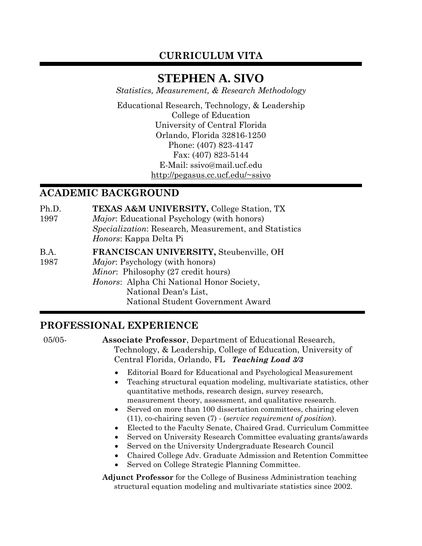# **CURRICULUM VITA**

# **STEPHEN A. SIVO**

*Statistics, Measurement, & Research Methodology* 

Educational Research, Technology, & Leadership College of Education University of Central Florida Orlando, Florida 32816-1250 Phone: (407) 823-4147 Fax: (407) 823-5144 E-Mail: ssivo@mail.ucf.edu http://pegasus.cc.ucf.edu/~ssivo

# **ACADEMIC BACKGROUND**

- Ph.D. 1997 **TEXAS A&M UNIVERSITY,** College Station, TX *Major*: Educational Psychology (with honors) *Specialization*: Research, Measurement, and Statistics *Honors*: Kappa Delta Pi
- B.A. 1987 **FRANCISCAN UNIVERSITY,** Steubenville, OH *Major*: Psychology (with honors) *Minor*: Philosophy (27 credit hours) *Honors*: Alpha Chi National Honor Society, National Dean's List, National Student Government Award

# **PROFESSIONAL EXPERIENCE**

05/05- **Associate Professor**, Department of Educational Research, Technology, & Leadership, College of Education, University of Central Florida, Orlando, FL *Teaching Load 3/3*

- Editorial Board for Educational and Psychological Measurement
- Teaching structural equation modeling, multivariate statistics, other quantitative methods, research design, survey research, measurement theory, assessment, and qualitative research.
- Served on more than 100 dissertation committees, chairing eleven (11), co-chairing seven (7) - (*service requirement of position*).
- Elected to the Faculty Senate, Chaired Grad. Curriculum Committee
- Served on University Research Committee evaluating grants/awards
- Served on the University Undergraduate Research Council
- Chaired College Adv. Graduate Admission and Retention Committee
- Served on College Strategic Planning Committee.

**Adjunct Professor** for the College of Business Administration teaching structural equation modeling and multivariate statistics since 2002.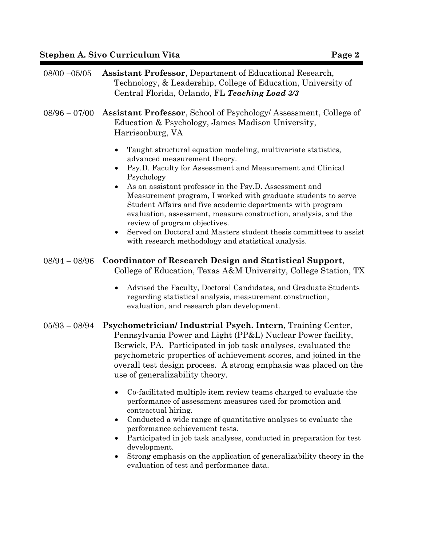|--|

| $08/00 - 05/05$ | <b>Assistant Professor</b> , Department of Educational Research,<br>Technology, & Leadership, College of Education, University of<br>Central Florida, Orlando, FL Teaching Load 3/3                                                                                                                                                                                                                                                                                                                                                                                                                              |
|-----------------|------------------------------------------------------------------------------------------------------------------------------------------------------------------------------------------------------------------------------------------------------------------------------------------------------------------------------------------------------------------------------------------------------------------------------------------------------------------------------------------------------------------------------------------------------------------------------------------------------------------|
| $08/96 - 07/00$ | <b>Assistant Professor, School of Psychology/Assessment, College of</b><br>Education & Psychology, James Madison University,<br>Harrisonburg, VA                                                                                                                                                                                                                                                                                                                                                                                                                                                                 |
|                 | Taught structural equation modeling, multivariate statistics,<br>advanced measurement theory.<br>Psy.D. Faculty for Assessment and Measurement and Clinical<br>Psychology<br>As an assistant professor in the Psy.D. Assessment and<br>Measurement program, I worked with graduate students to serve<br>Student Affairs and five academic departments with program<br>evaluation, assessment, measure construction, analysis, and the<br>review of program objectives.<br>Served on Doctoral and Masters student thesis committees to assist<br>$\bullet$<br>with research methodology and statistical analysis. |
| $08/94 - 08/96$ | <b>Coordinator of Research Design and Statistical Support,</b><br>College of Education, Texas A&M University, College Station, TX                                                                                                                                                                                                                                                                                                                                                                                                                                                                                |
|                 | Advised the Faculty, Doctoral Candidates, and Graduate Students<br>regarding statistical analysis, measurement construction,<br>evaluation, and research plan development.                                                                                                                                                                                                                                                                                                                                                                                                                                       |
| $05/93 - 08/94$ | Psychometrician/Industrial Psych. Intern, Training Center,<br>Pennsylvania Power and Light (PP&L) Nuclear Power facility,<br>Berwick, PA. Participated in job task analyses, evaluated the<br>psychometric properties of achievement scores, and joined in the<br>overall test design process. A strong emphasis was placed on the<br>use of generalizability theory                                                                                                                                                                                                                                             |
|                 | Co-facilitated multiple item review teams charged to evaluate the<br>٠<br>performance of assessment measures used for promotion and<br>contractual hiring.<br>Conducted a wide range of quantitative analyses to evaluate the<br>٠<br>performance achievement tests.<br>Participated in job task analyses, conducted in preparation for test<br>$\bullet$<br>development.<br>Strong emphasis on the application of generalizability theory in the<br>evaluation of test and performance data.                                                                                                                    |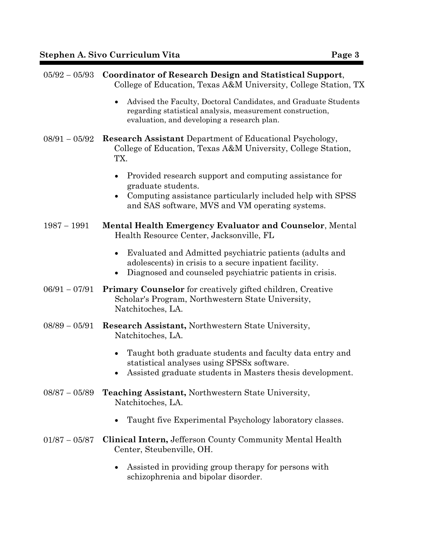| $05/92 - 05/93$ | <b>Coordinator of Research Design and Statistical Support,</b><br>College of Education, Texas A&M University, College Station, TX                                                                         |  |
|-----------------|-----------------------------------------------------------------------------------------------------------------------------------------------------------------------------------------------------------|--|
|                 | Advised the Faculty, Doctoral Candidates, and Graduate Students<br>$\bullet$<br>regarding statistical analysis, measurement construction,<br>evaluation, and developing a research plan.                  |  |
| $08/91 - 05/92$ | <b>Research Assistant Department of Educational Psychology,</b><br>College of Education, Texas A&M University, College Station,<br>TX.                                                                    |  |
|                 | Provided research support and computing assistance for<br>graduate students.<br>Computing assistance particularly included help with SPSS<br>$\bullet$<br>and SAS software, MVS and VM operating systems. |  |
| $1987 - 1991$   | <b>Mental Health Emergency Evaluator and Counselor, Mental</b><br>Health Resource Center, Jacksonville, FL                                                                                                |  |
|                 | Evaluated and Admitted psychiatric patients (adults and<br>$\bullet$<br>adolescents) in crisis to a secure inpatient facility.<br>Diagnosed and counseled psychiatric patients in crisis.                 |  |
| $06/91 - 07/91$ | <b>Primary Counselor</b> for creatively gifted children, Creative<br>Scholar's Program, Northwestern State University,<br>Natchitoches, LA.                                                               |  |
| $08/89 - 05/91$ | <b>Research Assistant, Northwestern State University,</b><br>Natchitoches, LA.                                                                                                                            |  |
|                 | Taught both graduate students and faculty data entry and<br>$\bullet$<br>statistical analyses using SPSSx software.<br>Assisted graduate students in Masters thesis development.                          |  |
| $08/87 - 05/89$ | <b>Teaching Assistant, Northwestern State University,</b><br>Natchitoches, LA.                                                                                                                            |  |
|                 | Taught five Experimental Psychology laboratory classes.                                                                                                                                                   |  |
| $01/87 - 05/87$ | <b>Clinical Intern, Jefferson County Community Mental Health</b><br>Center, Steubenville, OH.                                                                                                             |  |
|                 | Assisted in providing group therapy for persons with<br>٠<br>schizophrenia and bipolar disorder.                                                                                                          |  |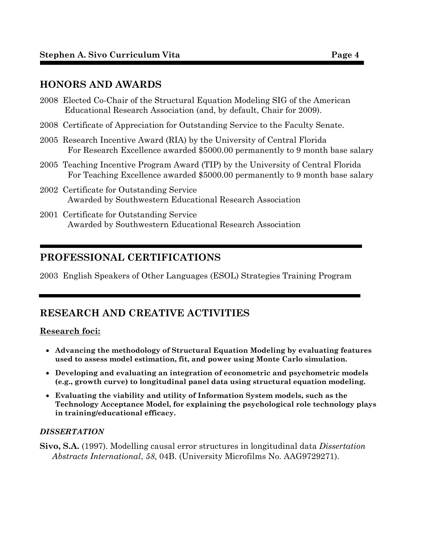# **HONORS AND AWARDS**

| 2008 Elected Co-Chair of the Structural Equation Modeling SIG of the American<br>Educational Research Association (and, by default, Chair for 2009).             |
|------------------------------------------------------------------------------------------------------------------------------------------------------------------|
| 2008 Certificate of Appreciation for Outstanding Service to the Faculty Senate.                                                                                  |
| 2005 Research Incentive Award (RIA) by the University of Central Florida<br>For Research Excellence awarded \$5000.00 permanently to 9 month base salary         |
| 2005 Teaching Incentive Program Award (TIP) by the University of Central Florida<br>For Teaching Excellence awarded \$5000.00 permanently to 9 month base salary |
| 2002 Certificate for Outstanding Service<br>Awarded by Southwestern Educational Research Association                                                             |

2001 Certificate for Outstanding Service Awarded by Southwestern Educational Research Association

# **PROFESSIONAL CERTIFICATIONS**

2003 English Speakers of Other Languages (ESOL) Strategies Training Program

# **RESEARCH AND CREATIVE ACTIVITIES**

## **Research foci:**

- **Advancing the methodology of Structural Equation Modeling by evaluating features used to assess model estimation, fit, and power using Monte Carlo simulation.**
- **Developing and evaluating an integration of econometric and psychometric models (e.g., growth curve) to longitudinal panel data using structural equation modeling.**
- **Evaluating the viability and utility of Information System models, such as the Technology Acceptance Model, for explaining the psychological role technology plays in training/educational efficacy.**

## *DISSERTATION*

**Sivo, S.A.** (1997). Modelling causal error structures in longitudinal data *Dissertation Abstracts International*, *58*, 04B. (University Microfilms No. AAG9729271).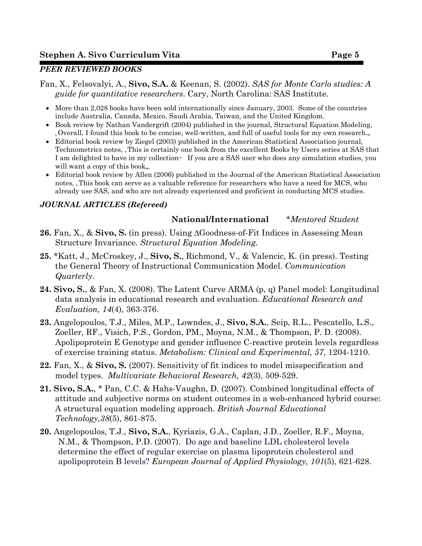## *PEER REVIEWED BOOKS*

Fan, X., Felsovalyi, A., **Sivo, S.A.** & Keenan, S. (2002). *SAS for Monte Carlo studies: A guide for quantitative researchers*. Cary, North Carolina: SAS Institute.

- More than 2,028 books have been sold internationally since January, 2003. Some of the countries include Australia, Canada, Mexico, Saudi Arabia, Taiwan, and the United Kingdom.
- Book review by Nathan Vandergrift (2004) published in the journal, Structural Equation Modeling, Overall, I found this book to be concise, well-written, and full of useful tools for my own research.,
- Editorial book review by Ziegel (2003) published in the American Statistical Association journal, Technometrics notes, This is certainly one book from the excellent Books by Users series at SAS that I am delighted to have in my collection  $\div$  If you are a SAS user who does any simulation studies, you will want a copy of this book,..
- Editorial book review by Allen (2006) published in the Journal of the American Statistical Association notes, This book can serve as a valuable reference for researchers who have a need for MCS, who already use SAS, and who are not already experienced and proficient in conducting MCS studies.

## *JOURNAL ARTICLES (Refereed)*

# **National/International** *\*Mentored Student*

- **26.** Fan, X., & **Sivo, S.** (in press). Using ΔGoodness-of-Fit Indices in Assessing Mean Structure Invariance. *Structural Equation Modeling.*
- **25.** \*Katt, J., McCroskey, J., **Sivo, S.**, Richmond, V., & Valencic, K. (in press). Testing the General Theory of Instructional Communication Model. *Communication Quarterly*.
- **24. Sivo, S.**, & Fan, X. (2008). The Latent Curve ARMA (p, q) Panel model: Longitudinal data analysis in educational research and evaluation. *Educational Research and Evaluation, 14*(4), 363-376.
- **23.** Angelopoulos, T.J., Miles, M.P., Lowndes, J., **Sivo, S.A.**, Seip, R.L., Pescatello, L.S., Zoeller, RF., Visich, P.S., Gordon, PM., Moyna, N.M., & Thompson, P. D. (2008). Apolipoprotein E Genotype and gender influence C-reactive protein levels regardless of exercise training status. *Metabolism: Clinical and Experimental, 57*, 1204-1210.
- **22.** Fan, X., & **Sivo, S.** (2007). Sensitivity of fit indices to model misspecification and model types. *Multivariate Behavioral Research, 42*(3), 509-529.
- **21. Sivo, S.A.**, \* Pan, C.C. & Hahs-Vaughn, D. (2007). Combined longitudinal effects of attitude and subjective norms on student outcomes in a web-enhanced hybrid course: A structural equation modeling approach. *British Journal Educational Technology,38*(5), 861-875.
- **20.** Angelopoulos, T.J., **Sivo, S.A.**, Kyriazis, G.A., Caplan, J.D., Zoeller, R.F., Moyna, N.M., & Thompson, P.D. (2007). Do age and baseline LDL cholesterol levels determine the effect of regular exercise on plasma lipoprotein cholesterol and apolipoprotein B levels? *European Journal of Applied Physiology, 101*(5), 621-628.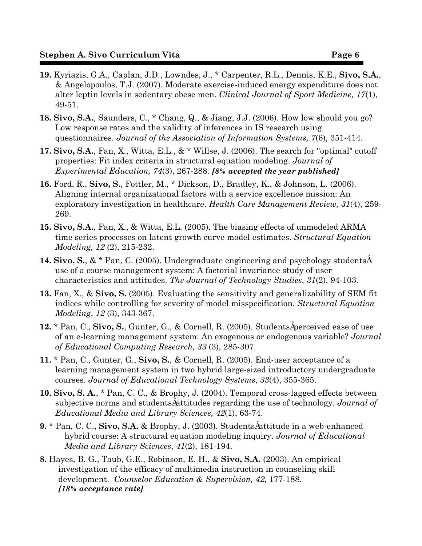- **19.** Kyriazis, G.A., Caplan, J.D., Lowndes, J., \* Carpenter, R.L., Dennis, K.E., **Sivo, S.A.**, & Angelopoulos, T.J. (2007). Moderate exercise-induced energy expenditure does not alter leptin levels in sedentary obese men. *Clinical Journal of Sport Medicine, 17*(1), 49-51.
- **18. Sivo, S.A.**, Saunders, C., \* Chang, Q., & Jiang, J.J. (2006). How low should you go? Low response rates and the validity of inferences in IS research using questionnaires. *Journal of the Association of Information Systems, 7*(6), 351-414.
- **17. Sivo, S.A.**, Fan, X., Witta, E.L., & \* Willse, J. (2006). The search for "optimal" cutoff properties: Fit index criteria in structural equation modeling. *Journal of Experimental Education, 74*(3), 267-288. *[8% accepted the year published]*
- **16.** Ford, R., **Sivo, S.**, Fottler, M., \* Dickson, D., Bradley, K., & Johnson, L. (2006). Aligning internal organizational factors with a service excellence mission: An exploratory investigation in healthcare. *Health Care Management Review, 31*(4), 259- 269.
- **15. Sivo, S.A.**, Fan, X., & Witta, E.L. (2005). The biasing effects of unmodeled ARMA time series processes on latent growth curve model estimates. *Structural Equation Modeling, 12* (2), 215-232.
- **14. Sivo, S.,**  $\&$  **\* Pan, C.** (2005). Undergraduate engineering and psychology students  $\hat{A}$ use of a course management system: A factorial invariance study of user characteristics and attitudes. *The Journal of Technology Studies*, *31*(2), 94-103.
- **13.** Fan, X., & **Sivo, S.** (2005). Evaluating the sensitivity and generalizability of SEM fit indices while controlling for severity of model misspecification. *Structural Equation Modeling*, *12* (3), 343-367.
- **12.** \* Pan, C., Sivo, S., Gunter, G., & Cornell, R. (2005). Students $\hat{A}$  perceived ease of use of an e-learning management system: An exogenous or endogenous variable? *Journal of Educational Computing Research, 33* (3), 285-307.
- **11.** \* Pan, C., Gunter, G., **Sivo, S.**, & Cornell, R. (2005). End-user acceptance of a learning management system in two hybrid large-sized introductory undergraduate courses. *Journal of Educational Technology Systems*, *33*(4), 355-365.
- **10. Sivo, S. A.**, \* Pan, C. C., & Brophy, J. (2004). Temporal cross-lagged effects between subjective norms and students Autitudes regarding the use of technology. *Journal of Educational Media and Library Sciences, 42*(1), 63-74.
- **9.** \* Pan, C. C., Sivo, S.A. & Brophy, J. (2003). Students $\hat{A}$ attitude in a web-enhanced hybrid course: A structural equation modeling inquiry. *Journal of Educational Media and Library Sciences*, *41*(2), 181-194.
- **8.** Hayes, B. G., Taub, G.E., Robinson, E. H., & **Sivo, S.A.** (2003). An empirical investigation of the efficacy of multimedia instruction in counseling skill development. *Counselor Education & Supervision, 42,* 177-188. *[18% acceptance rate]*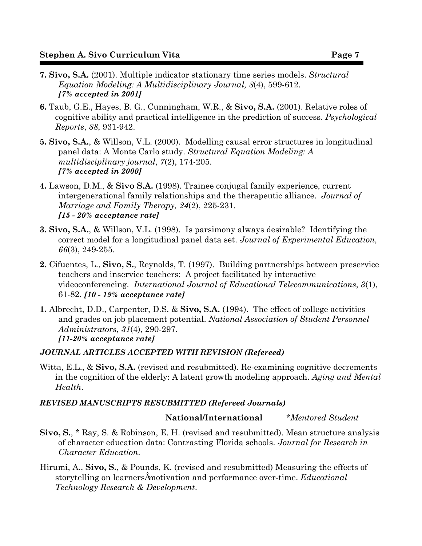- **7. Sivo, S.A.** (2001). Multiple indicator stationary time series models. *Structural Equation Modeling: A Multidisciplinary Journal, 8*(4), 599-612. *[7% accepted in 2001]*
- **6.** Taub, G.E., Hayes, B. G., Cunningham, W.R., & **Sivo, S.A.** (2001). Relative roles of cognitive ability and practical intelligence in the prediction of success. *Psychological Reports*, *88*, 931-942.
- **5. Sivo, S.A.**, & Willson, V.L. (2000). Modelling causal error structures in longitudinal panel data: A Monte Carlo study. *Structural Equation Modeling: A multidisciplinary journal*, *7*(2), 174-205. *[7% accepted in 2000]*
- **4.** Lawson, D.M., & **Sivo S.A.** (1998). Trainee conjugal family experience, current intergenerational family relationships and the therapeutic alliance. *Journal of Marriage and Family Therapy, 24*(2), 225-231. *[15 - 20% acceptance rate]*
- **3. Sivo, S.A.**, & Willson, V.L. (1998). Is parsimony always desirable? Identifying the correct model for a longitudinal panel data set. *Journal of Experimental Education, 66*(3), 249-255.
- **2.** Cifuentes, L., **Sivo, S.**, Reynolds, T. (1997). Building partnerships between preservice teachers and inservice teachers: A project facilitated by interactive videoconferencing. *International Journal of Educational Telecommunications*, *3*(1), 61-82. *[10 - 19% acceptance rate]*
- **1.** Albrecht, D.D., Carpenter, D.S. & **Sivo, S.A.** (1994). The effect of college activities and grades on job placement potential. *National Association of Student Personnel Administrators*, *31*(4), 290-297. *[11-20% acceptance rate]*

## *JOURNAL ARTICLES ACCEPTED WITH REVISION (Refereed)*

Witta, E.L., & Sivo, S.A. (revised and resubmitted). Re-examining cognitive decrements in the cognition of the elderly: A latent growth modeling approach. *Aging and Mental Health*.

#### *REVISED MANUSCRIPTS RESUBMITTED (Refereed Journals)*

#### **National/International** *\*Mentored Student*

- **Sivo, S.**, \* Ray, S. & Robinson, E. H. (revised and resubmitted). Mean structure analysis of character education data: Contrasting Florida schools. *Journal for Research in Character Education*.
- Hirumi, A., **Sivo, S.**, & Pounds, K. (revised and resubmitted) Measuring the effects of storytelling on learnersAmotivation and performance over-time. *Educational Technology Research & Development*.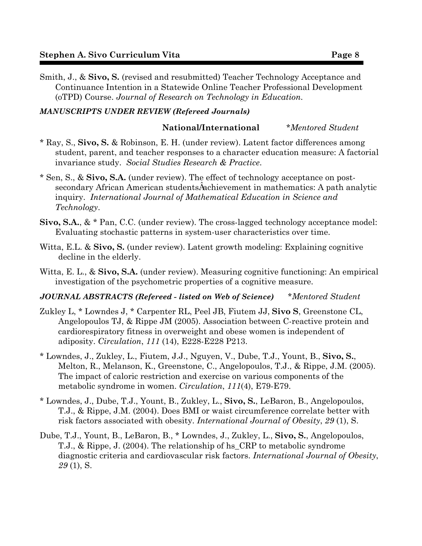Smith, J., & **Sivo, S.** (revised and resubmitted) Teacher Technology Acceptance and Continuance Intention in a Statewide Online Teacher Professional Development (oTPD) Course. *Journal of Research on Technology in Education*.

## *MANUSCRIPTS UNDER REVIEW (Refereed Journals)*

### **National/International** *\*Mentored Student*

- \* Ray, S., **Sivo, S.** & Robinson, E. H. (under review). Latent factor differences among student, parent, and teacher responses to a character education measure: A factorial invariance study. *Social Studies Research & Practice*.
- \* Sen, S., & **Sivo, S.A.** (under review). The effect of technology acceptance on postsecondary African American students Aachievement in mathematics: A path analytic inquiry. *International Journal of Mathematical Education in Science and Technology*.
- **Sivo, S.A.**, & \* Pan, C.C. (under review). The cross-lagged technology acceptance model: Evaluating stochastic patterns in system-user characteristics over time.
- Witta, E.L. & **Sivo, S.** (under review). Latent growth modeling: Explaining cognitive decline in the elderly.
- Witta, E. L., & **Sivo, S.A.** (under review). Measuring cognitive functioning: An empirical investigation of the psychometric properties of a cognitive measure.

#### *JOURNAL ABSTRACTS (Refereed - listed on Web of Science)**\*Mentored Student*

- Zukley L, \* Lowndes J, \* Carpenter RL, Peel JB, Fiutem JJ, **Sivo S**, Greenstone CL, Angelopoulos TJ, & Rippe JM (2005). Association between C-reactive protein and cardiorespiratory fitness in overweight and obese women is independent of adiposity. *Circulation*, *111* (14), E228-E228 P213.
- \* Lowndes, J., Zukley, L., Fiutem, J.J., Nguyen, V., Dube, T.J., Yount, B., **Sivo, S.**, Melton, R., Melanson, K., Greenstone, C., Angelopoulos, T.J., & Rippe, J.M. (2005). The impact of caloric restriction and exercise on various components of the metabolic syndrome in women. *Circulation*, *111*(4), E79-E79.
- \* Lowndes, J., Dube, T.J., Yount, B., Zukley, L., **Sivo, S.**, LeBaron, B., Angelopoulos, T.J., & Rippe, J.M. (2004). Does BMI or waist circumference correlate better with risk factors associated with obesity. *International Journal of Obesity*, *29* (1), S.
- Dube, T.J., Yount, B., LeBaron, B., \* Lowndes, J., Zukley, L., **Sivo, S.**, Angelopoulos, T.J., & Rippe, J. (2004). The relationship of hs\_CRP to metabolic syndrome diagnostic criteria and cardiovascular risk factors. *International Journal of Obesity*, *29* (1), S.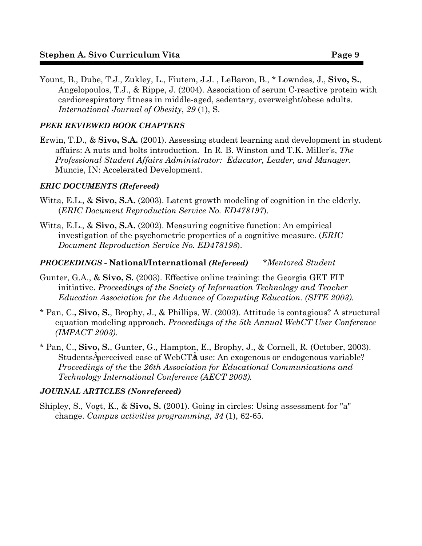Yount, B., Dube, T.J., Zukley, L., Fiutem, J.J. , LeBaron, B., \* Lowndes, J., **Sivo, S.**, Angelopoulos, T.J., & Rippe, J. (2004). Association of serum C-reactive protein with cardiorespiratory fitness in middle-aged, sedentary, overweight/obese adults. *International Journal of Obesity*, *29* (1), S.

# *PEER REVIEWED BOOK CHAPTERS*

Erwin, T.D., & **Sivo, S.A.** (2001). Assessing student learning and development in student affairs: A nuts and bolts introduction. In R. B. Winston and T.K. Miller's, *The Professional Student Affairs Administrator: Educator, Leader, and Manager*. Muncie, IN: Accelerated Development.

## *ERIC DOCUMENTS (Refereed)*

- Witta, E.L., & Sivo, S.A. (2003). Latent growth modeling of cognition in the elderly. (*ERIC Document Reproduction Service No. ED478197*).
- Witta, E.L., & **Sivo, S.A.** (2002). Measuring cognitive function: An empirical investigation of the psychometric properties of a cognitive measure. (*ERIC Document Reproduction Service No. ED478198*).

## *PROCEEDINGS -* **National/International** *(Refereed)**\*Mentored Student*

- Gunter, G.A., & **Sivo, S.** (2003). Effective online training: the Georgia GET FIT initiative. *Proceedings of the Society of Information Technology and Teacher Education Association for the Advance of Computing Education. (SITE 2003).*
- \* Pan, C.**, Sivo, S.**, Brophy, J., & Phillips, W. (2003). Attitude is contagious? A structural equation modeling approach. *Proceedings of the 5th Annual WebCT User Conference (IMPACT 2003).*
- \* Pan, C., **Sivo, S.**, Gunter, G., Hampton, E., Brophy, J., & Cornell, R. (October, 2003). StudentsA perceived ease of WebCTA use: An exogenous or endogenous variable? *Proceedings of the* the *26th Association for Educational Communications and Technology International Conference (AECT 2003).*

## *JOURNAL ARTICLES (Nonrefereed)*

Shipley, S., Vogt, K., & **Sivo, S.** (2001). Going in circles: Using assessment for "a" change. *Campus activities programming*, *34* (1), 62-65.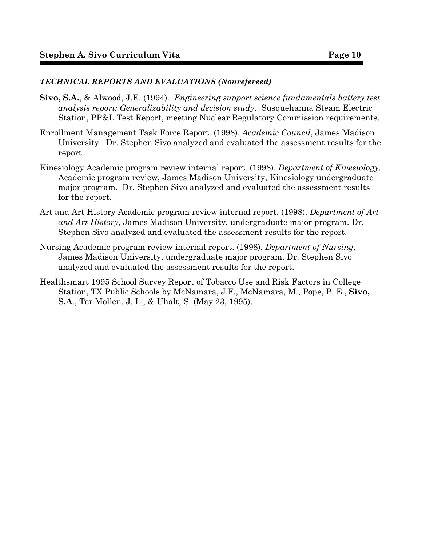## *TECHNICAL REPORTS AND EVALUATIONS (Nonrefereed)*

- **Sivo, S.A.**, & Alwood, J.E. (1994). *Engineering support science fundamentals battery test analysis report: Generalizability and decision study*. Susquehanna Steam Electric Station, PP&L Test Report, meeting Nuclear Regulatory Commission requirements.
- Enrollment Management Task Force Report. (1998). *Academic Council*, James Madison University. Dr. Stephen Sivo analyzed and evaluated the assessment results for the report.
- Kinesiology Academic program review internal report. (1998). *Department of Kinesiology*, Academic program review, James Madison University, Kinesiology undergraduate major program. Dr. Stephen Sivo analyzed and evaluated the assessment results for the report.
- Art and Art History Academic program review internal report. (1998). *Department of Art and Art History*, James Madison University, undergraduate major program. Dr. Stephen Sivo analyzed and evaluated the assessment results for the report.
- Nursing Academic program review internal report. (1998). *Department of Nursing*, James Madison University, undergraduate major program. Dr. Stephen Sivo analyzed and evaluated the assessment results for the report.
- Healthsmart 1995 School Survey Report of Tobacco Use and Risk Factors in College Station, TX Public Schools by McNamara, J.F., McNamara, M., Pope, P. E., **Sivo, S.A**., Ter Mollen, J. L., & Uhalt, S. (May 23, 1995).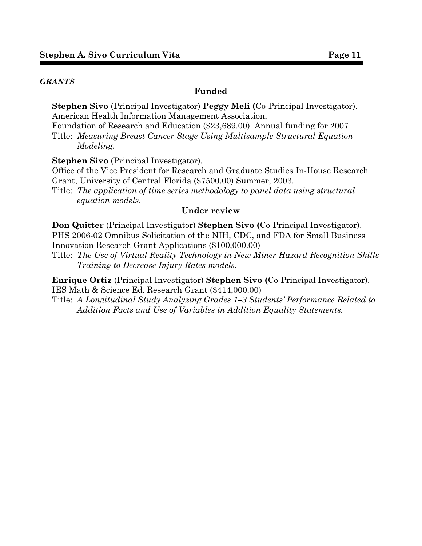#### *GRANTS*

#### **Funded**

**Stephen Sivo** (Principal Investigator) **Peggy Meli (**Co-Principal Investigator). American Health Information Management Association,

Foundation of Research and Education (\$23,689.00). Annual funding for 2007 Title: *Measuring Breast Cancer Stage Using Multisample Structural Equation Modeling*.

**Stephen Sivo** (Principal Investigator).

Office of the Vice President for Research and Graduate Studies In-House Research Grant, University of Central Florida (\$7500.00) Summer, 2003.

Title: *The application of time series methodology to panel data using structural equation models*.

#### **Under review**

**Don Quitter** (Principal Investigator) **Stephen Sivo (**Co-Principal Investigator). PHS 2006-02 Omnibus Solicitation of the NIH, CDC, and FDA for Small Business Innovation Research Grant Applications (\$100,000.00)

Title: *The Use of Virtual Reality Technology in New Miner Hazard Recognition Skills Training to Decrease Injury Rates models*.

**Enrique Ortiz** (Principal Investigator) **Stephen Sivo (**Co-Principal Investigator). IES Math & Science Ed. Research Grant (\$414,000.00)

Title: *A Longitudinal Study Analyzing Grades 1–3 Students' Performance Related to Addition Facts and Use of Variables in Addition Equality Statements.*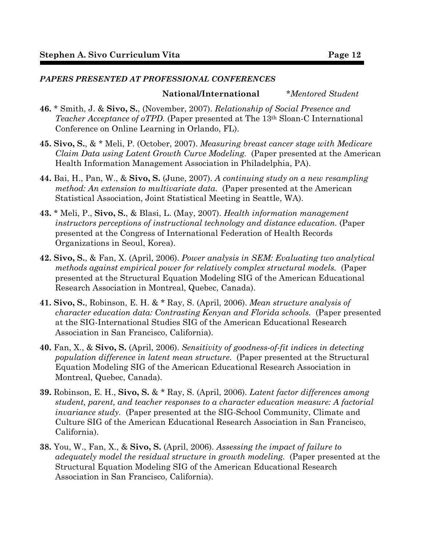## *PAPERS PRESENTED AT PROFESSIONAL CONFERENCES*

### **National/International** *\*Mentored Student*

- **46.** \* Smith, J. & **Sivo, S.**, (November, 2007). *Relationship of Social Presence and Teacher Acceptance of oTPD.* (Paper presented at The 13th Sloan-C International Conference on Online Learning in Orlando, FL).
- **45. Sivo, S.**, & \* Meli, P. (October, 2007). *Measuring breast cancer stage with Medicare Claim Data using Latent Growth Curve Modeling.* (Paper presented at the American Health Information Management Association in Philadelphia, PA).
- **44.** Bai, H., Pan, W., & **Sivo, S.** (June, 2007). *A continuing study on a new resampling method: An extension to multivariate data.* (Paper presented at the American Statistical Association, Joint Statistical Meeting in Seattle, WA).
- **43.** \* Meli, P., **Sivo, S.**, & Blasi, L. (May, 2007). *Health information management instructors perceptions of instructional technology and distance education.* (Paper presented at the Congress of International Federation of Health Records Organizations in Seoul, Korea).
- **42. Sivo, S.**, & Fan, X. (April, 2006). *Power analysis in SEM: Evaluating two analytical methods against empirical power for relatively complex structural models.* (Paper presented at the Structural Equation Modeling SIG of the American Educational Research Association in Montreal, Quebec, Canada).
- **41. Sivo, S.**, Robinson, E. H. & \* Ray, S. (April, 2006). *Mean structure analysis of character education data: Contrasting Kenyan and Florida schools.* (Paper presented at the SIG-International Studies SIG of the American Educational Research Association in San Francisco, California).
- **40.** Fan, X., & **Sivo, S.** (April, 2006). *Sensitivity of goodness-of-fit indices in detecting population difference in latent mean structure.* (Paper presented at the Structural Equation Modeling SIG of the American Educational Research Association in Montreal, Quebec, Canada).
- **39.** Robinson, E. H., **Sivo, S.** & \* Ray, S. (April, 2006). *Latent factor differences among student, parent, and teacher responses to a character education measure: A factorial invariance study.* (Paper presented at the SIG-School Community, Climate and Culture SIG of the American Educational Research Association in San Francisco, California).
- **38.** You, W., Fan, X., & **Sivo, S.** (April, 2006). *Assessing the impact of failure to adequately model the residual structure in growth modeling.* (Paper presented at the Structural Equation Modeling SIG of the American Educational Research Association in San Francisco, California).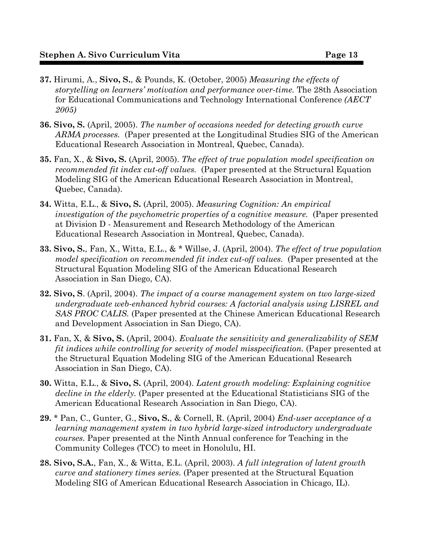- **37.** Hirumi, A., **Sivo, S.**, & Pounds, K. (October, 2005) *Measuring the effects of storytelling on learners' motivation and performance over-time.* The 28th Association for Educational Communications and Technology International Conference *(AECT 2005)*
- **36. Sivo, S.** (April, 2005). *The number of occasions needed for detecting growth curve ARMA processes.* (Paper presented at the Longitudinal Studies SIG of the American Educational Research Association in Montreal, Quebec, Canada).
- **35.** Fan, X., & **Sivo, S.** (April, 2005). *The effect of true population model specification on recommended fit index cut-off values.* (Paper presented at the Structural Equation Modeling SIG of the American Educational Research Association in Montreal, Quebec, Canada).
- **34.** Witta, E.L., & **Sivo, S.** (April, 2005). *Measuring Cognition: An empirical investigation of the psychometric properties of a cognitive measure.* (Paper presented at Division D - Measurement and Research Methodology of the American Educational Research Association in Montreal, Quebec, Canada).
- **33. Sivo, S.**, Fan, X., Witta, E.L., & \* Willse, J. (April, 2004). *The effect of true population model specification on recommended fit index cut-off values.* (Paper presented at the Structural Equation Modeling SIG of the American Educational Research Association in San Diego, CA).
- **32. Sivo, S**. (April, 2004). *The impact of a course management system on two large-sized undergraduate web-enhanced hybrid courses: A factorial analysis using LISREL and SAS PROC CALIS.* (Paper presented at the Chinese American Educational Research and Development Association in San Diego, CA).
- **31.** Fan, X, & **Sivo, S.** (April, 2004). *Evaluate the sensitivity and generalizability of SEM fit indices while controlling for severity of model misspecification.* (Paper presented at the Structural Equation Modeling SIG of the American Educational Research Association in San Diego, CA).
- **30.** Witta, E.L., & **Sivo, S.** (April, 2004). *Latent growth modeling: Explaining cognitive decline in the elderly.* (Paper presented at the Educational Statisticians SIG of the American Educational Research Association in San Diego, CA).
- **29.** \* Pan, C., Gunter, G., **Sivo, S.**, & Cornell, R. (April, 2004) *End-user acceptance of a learning management system in two hybrid large-sized introductory undergraduate courses.* Paper presented at the Ninth Annual conference for Teaching in the Community Colleges (TCC) to meet in Honolulu, HI.
- **28. Sivo, S.A.**, Fan, X., & Witta, E.L. (April, 2003). *A full integration of latent growth curve and stationery times series.* (Paper presented at the Structural Equation Modeling SIG of American Educational Research Association in Chicago, IL).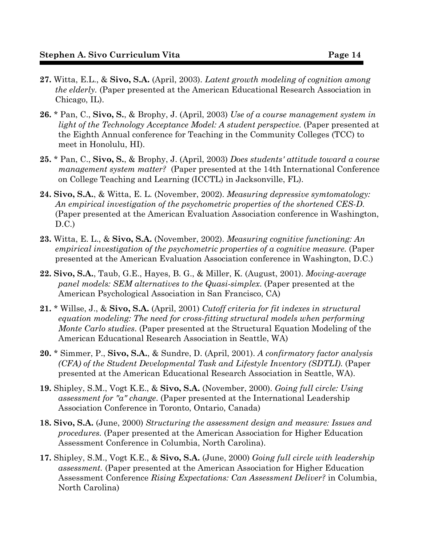- **27.** Witta, E.L., & **Sivo, S.A.** (April, 2003). *Latent growth modeling of cognition among the elderly.* (Paper presented at the American Educational Research Association in Chicago, IL).
- **26.** \* Pan, C., **Sivo, S.**, & Brophy, J. (April, 2003) *Use of a course management system in light of the Technology Acceptance Model: A student perspective.* (Paper presented at the Eighth Annual conference for Teaching in the Community Colleges (TCC) to meet in Honolulu, HI).
- **25.** \* Pan, C., **Sivo, S.**, & Brophy, J. (April, 2003) *Does students' attitude toward a course management system matter?* (Paper presented at the 14th International Conference on College Teaching and Learning (ICCTL) in Jacksonville, FL).
- **24. Sivo, S.A.**, & Witta, E. L. (November, 2002). *Measuring depressive symtomatology: An empirical investigation of the psychometric properties of the shortened CES-D*. (Paper presented at the American Evaluation Association conference in Washington, D.C.)
- **23.** Witta, E. L., & **Sivo, S.A.** (November, 2002). *Measuring cognitive functioning: An empirical investigation of the psychometric properties of a cognitive measure.* (Paper presented at the American Evaluation Association conference in Washington, D.C.)
- **22. Sivo, S.A.**, Taub, G.E., Hayes, B. G., & Miller, K. (August, 2001). *Moving-average panel models: SEM alternatives to the Quasi-simplex*. (Paper presented at the American Psychological Association in San Francisco, CA)
- **21.** \* Willse, J., & **Sivo, S.A.** (April, 2001) *Cutoff criteria for fit indexes in structural equation modeling: The need for cross-fitting structural models when performing Monte Carlo studies*. (Paper presented at the Structural Equation Modeling of the American Educational Research Association in Seattle, WA)
- **20.** \* Simmer, P., **Sivo, S.A.**, & Sundre, D. (April, 2001). *A confirmatory factor analysis (CFA) of the Student Developmental Task and Lifestyle Inventory (SDTLI)*. (Paper presented at the American Educational Research Association in Seattle, WA).
- **19.** Shipley, S.M., Vogt K.E., & **Sivo, S.A.** (November, 2000). *Going full circle: Using assessment for "a" change*. (Paper presented at the International Leadership Association Conference in Toronto, Ontario, Canada)
- **18. Sivo, S.A.** (June, 2000) *Structuring the assessment design and measure: Issues and procedures.* (Paper presented at the American Association for Higher Education Assessment Conference in Columbia, North Carolina).
- **17.** Shipley, S.M., Vogt K.E., & **Sivo, S.A.** (June, 2000) *Going full circle with leadership assessment.* (Paper presented at the American Association for Higher Education Assessment Conference *Rising Expectations: Can Assessment Deliver?* in Columbia, North Carolina)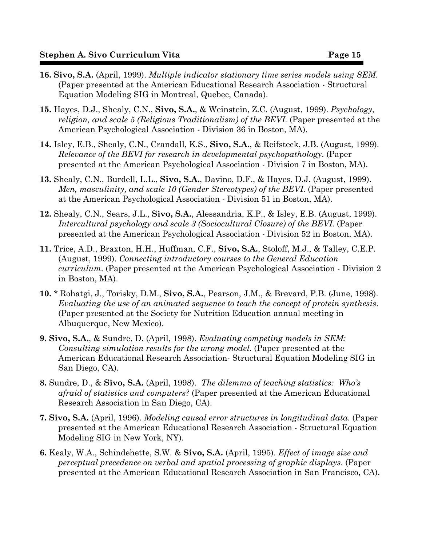- **16. Sivo, S.A.** (April, 1999). *Multiple indicator stationary time series models using SEM*. (Paper presented at the American Educational Research Association - Structural Equation Modeling SIG in Montreal, Quebec, Canada).
- **15.** Hayes, D.J., Shealy, C.N., **Sivo, S.A.**, & Weinstein, Z.C. (August, 1999). *Psychology, religion, and scale 5 (Religious Traditionalism) of the BEVI*. (Paper presented at the American Psychological Association - Division 36 in Boston, MA).
- **14.** Isley, E.B., Shealy, C.N., Crandall, K.S., **Sivo, S.A.**, & Reifsteck, J.B. (August, 1999). *Relevance of the BEVI for research in developmental psychopathology*. (Paper presented at the American Psychological Association - Division 7 in Boston, MA).
- **13.** Shealy, C.N., Burdell, L.L., **Sivo, S.A.**, Davino, D.F., & Hayes, D.J. (August, 1999). *Men, masculinity, and scale 10 (Gender Stereotypes) of the BEVI*. (Paper presented at the American Psychological Association - Division 51 in Boston, MA).
- **12.** Shealy, C.N., Sears, J.L., **Sivo, S.A.**, Alessandria, K.P., & Isley, E.B. (August, 1999). *Intercultural psychology and scale 3 (Sociocultural Closure) of the BEVI*. (Paper presented at the American Psychological Association - Division 52 in Boston, MA).
- **11.** Trice, A.D., Braxton, H.H., Huffman, C.F., **Sivo, S.A.**, Stoloff, M.J., & Talley, C.E.P. (August, 1999). *Connecting introductory courses to the General Education curriculum*. (Paper presented at the American Psychological Association - Division 2 in Boston, MA).
- **10.** \* Rohatgi, J., Torisky, D.M., **Sivo, S.A.**, Pearson, J.M., & Brevard, P.B. (June, 1998). *Evaluating the use of an animated sequence to teach the concept of protein synthesis*. (Paper presented at the Society for Nutrition Education annual meeting in Albuquerque, New Mexico).
- **9. Sivo, S.A.**, & Sundre, D. (April, 1998). *Evaluating competing models in SEM: Consulting simulation results for the wrong model*. (Paper presented at the American Educational Research Association- Structural Equation Modeling SIG in San Diego, CA).
- **8.** Sundre, D., & **Sivo, S.A.** (April, 1998). *The dilemma of teaching statistics: Who's afraid of statistics and computers?* (Paper presented at the American Educational Research Association in San Diego, CA).
- **7. Sivo, S.A.** (April, 1996). *Modeling causal error structures in longitudinal data*. (Paper presented at the American Educational Research Association - Structural Equation Modeling SIG in New York, NY).
- **6.** Kealy, W.A., Schindehette, S.W. & **Sivo, S.A.** (April, 1995). *Effect of image size and perceptual precedence on verbal and spatial processing of graphic displays*. (Paper presented at the American Educational Research Association in San Francisco, CA).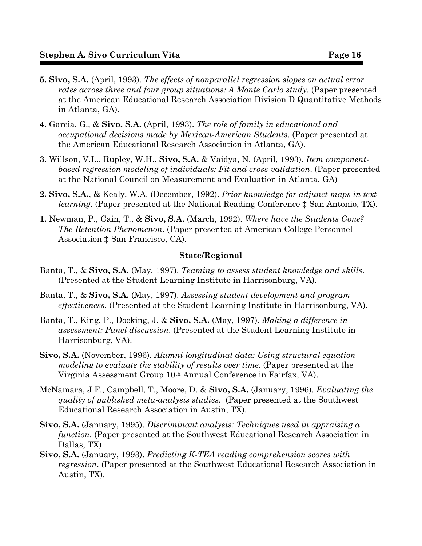- **5. Sivo, S.A.** (April, 1993). *The effects of nonparallel regression slopes on actual error rates across three and four group situations: A Monte Carlo study*. (Paper presented at the American Educational Research Association Division D Quantitative Methods in Atlanta, GA).
- **4.** Garcia, G., & **Sivo, S.A.** (April, 1993). *The role of family in educational and occupational decisions made by Mexican-American Students*. (Paper presented at the American Educational Research Association in Atlanta, GA).
- **3.** Willson, V.L., Rupley, W.H., **Sivo, S.A.** & Vaidya, N. (April, 1993). *Item componentbased regression modeling of individuals: Fit and cross-validation*. (Paper presented at the National Council on Measurement and Evaluation in Atlanta, GA)
- **2. Sivo, S.A.**, & Kealy, W.A. (December, 1992). *Prior knowledge for adjunct maps in text learning.* (Paper presented at the National Reading Conference  $\ddagger$  San Antonio, TX).
- **1.** Newman, P., Cain, T., & **Sivo, S.A.** (March, 1992). *Where have the Students Gone? The Retention Phenomenon*. (Paper presented at American College Personnel Association  $\ddagger$  San Francisco, CA).

#### **State/Regional**

- Banta, T., & **Sivo, S.A.** (May, 1997). *Teaming to assess student knowledge and skills*. (Presented at the Student Learning Institute in Harrisonburg, VA).
- Banta, T., & **Sivo, S.A.** (May, 1997). *Assessing student development and program effectiveness*. (Presented at the Student Learning Institute in Harrisonburg, VA).
- Banta, T., King, P., Docking, J. & **Sivo, S.A.** (May, 1997). *Making a difference in assessment: Panel discussion*. (Presented at the Student Learning Institute in Harrisonburg, VA).
- **Sivo, S.A.** (November, 1996). *Alumni longitudinal data: Using structural equation modeling to evaluate the stability of results over time*. (Paper presented at the Virginia Assessment Group 10th Annual Conference in Fairfax, VA).
- McNamara, J.F., Campbell, T., Moore, D. & **Sivo, S.A.** (January, 1996). *Evaluating the quality of published meta-analysis studies*. (Paper presented at the Southwest Educational Research Association in Austin, TX).
- **Sivo, S.A.** (January, 1995). *Discriminant analysis: Techniques used in appraising a function*. (Paper presented at the Southwest Educational Research Association in Dallas, TX)
- **Sivo, S.A.** (January, 1993). *Predicting K-TEA reading comprehension scores with regression*. (Paper presented at the Southwest Educational Research Association in Austin, TX).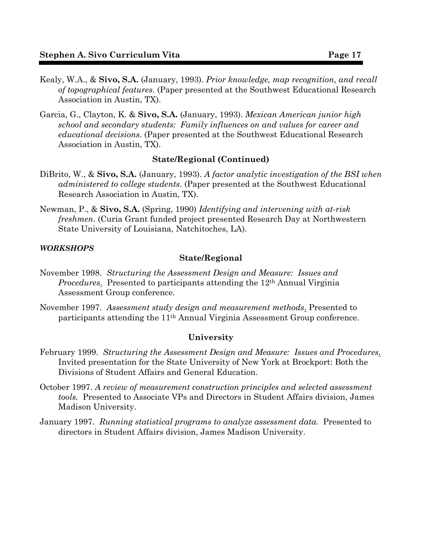- Kealy, W.A., & **Sivo, S.A.** (January, 1993). *Prior knowledge, map recognition, and recall of topographical features*. (Paper presented at the Southwest Educational Research Association in Austin, TX).
- Garcia, G., Clayton, K. & **Sivo, S.A.** (January, 1993). *Mexican American junior high school and secondary students: Family influences on and values for career and educational decisions*. (Paper presented at the Southwest Educational Research Association in Austin, TX).

#### **State/Regional (Continued)**

- DiBrito, W., & **Sivo, S.A.** (January, 1993). *A factor analytic investigation of the BSI when administered to college students*. (Paper presented at the Southwest Educational Research Association in Austin, TX).
- Newman, P., & **Sivo, S.A.** (Spring, 1990) *Identifying and intervening with at-risk freshmen*. (Curia Grant funded project presented Research Day at Northwestern State University of Louisiana, Natchitoches, LA).

#### *WORKSHOPS*

#### **State/Regional**

- November 1998. *Structuring the Assessment Design and Measure: Issues and Procedures.* Presented to participants attending the 12<sup>th</sup> Annual Virginia Assessment Group conference.
- November 1997. *Assessment study design and measurement methods*. Presented to participants attending the 11th Annual Virginia Assessment Group conference.

#### **University**

- February 1999. *Structuring the Assessment Design and Measure: Issues and Procedures*. Invited presentation for the State University of New York at Brockport: Both the Divisions of Student Affairs and General Education.
- October 1997. *A review of measurement construction principles and selected assessment tools.* Presented to Associate VPs and Directors in Student Affairs division, James Madison University.
- January 1997. *Running statistical programs to analyze assessment data.* Presented to directors in Student Affairs division, James Madison University.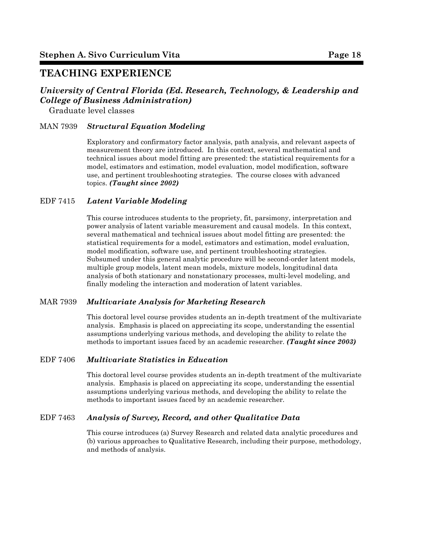# **TEACHING EXPERIENCE**

# *University of Central Florida (Ed. Research, Technology, & Leadership and College of Business Administration)*

Graduate level classes

#### MAN 7939 *Structural Equation Modeling*

Exploratory and confirmatory factor analysis, path analysis, and relevant aspects of measurement theory are introduced. In this context, several mathematical and technical issues about model fitting are presented: the statistical requirements for a model, estimators and estimation, model evaluation, model modification, software use, and pertinent troubleshooting strategies. The course closes with advanced topics. *(Taught since 2002)*

#### EDF 7415 *Latent Variable Modeling*

This course introduces students to the propriety, fit, parsimony, interpretation and power analysis of latent variable measurement and causal models. In this context, several mathematical and technical issues about model fitting are presented: the statistical requirements for a model, estimators and estimation, model evaluation, model modification, software use, and pertinent troubleshooting strategies. Subsumed under this general analytic procedure will be second-order latent models, multiple group models, latent mean models, mixture models, longitudinal data analysis of both stationary and nonstationary processes, multi-level modeling, and finally modeling the interaction and moderation of latent variables.

#### MAR 7939 *Multivariate Analysis for Marketing Research*

This doctoral level course provides students an in-depth treatment of the multivariate analysis. Emphasis is placed on appreciating its scope, understanding the essential assumptions underlying various methods, and developing the ability to relate the methods to important issues faced by an academic researcher. *(Taught since 2003)*

### EDF 7406 *Multivariate Statistics in Education*

This doctoral level course provides students an in-depth treatment of the multivariate analysis. Emphasis is placed on appreciating its scope, understanding the essential assumptions underlying various methods, and developing the ability to relate the methods to important issues faced by an academic researcher.

#### EDF 7463 *Analysis of Survey, Record, and other Qualitative Data*

This course introduces (a) Survey Research and related data analytic procedures and (b) various approaches to Qualitative Research, including their purpose, methodology, and methods of analysis.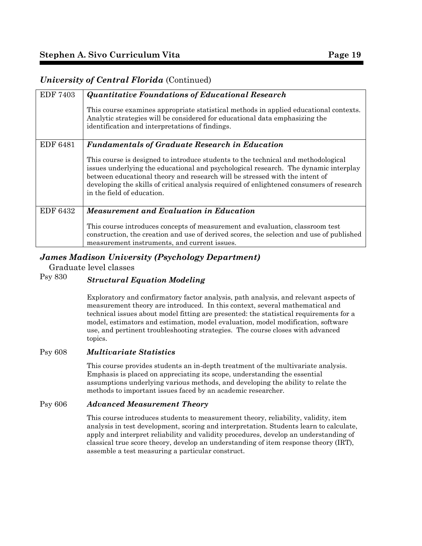## *University of Central Florida* (Continued)

| <b>EDF 7403</b> | <b>Quantitative Foundations of Educational Research</b><br>This course examines appropriate statistical methods in applied educational contexts.<br>Analytic strategies will be considered for educational data emphasizing the<br>identification and interpretations of findings.                                                                                                                                                         |
|-----------------|--------------------------------------------------------------------------------------------------------------------------------------------------------------------------------------------------------------------------------------------------------------------------------------------------------------------------------------------------------------------------------------------------------------------------------------------|
| EDF 6481        | <b>Fundamentals of Graduate Research in Education</b><br>This course is designed to introduce students to the technical and methodological<br>issues underlying the educational and psychological research. The dynamic interplay<br>between educational theory and research will be stressed with the intent of<br>developing the skills of critical analysis required of enlightened consumers of research<br>in the field of education. |
| <b>EDF 6432</b> | <b>Measurement and Evaluation in Education</b><br>This course introduces concepts of measurement and evaluation, classroom test<br>construction, the creation and use of derived scores, the selection and use of published<br>measurement instruments, and current issues.                                                                                                                                                                |

# *James Madison University (Psychology Department)*

Graduate level classes

# Psy 830 *Structural Equation Modeling*

Exploratory and confirmatory factor analysis, path analysis, and relevant aspects of measurement theory are introduced. In this context, several mathematical and technical issues about model fitting are presented: the statistical requirements for a model, estimators and estimation, model evaluation, model modification, software use, and pertinent troubleshooting strategies. The course closes with advanced topics.

#### Psy 608 *Multivariate Statistics*

This course provides students an in-depth treatment of the multivariate analysis. Emphasis is placed on appreciating its scope, understanding the essential assumptions underlying various methods, and developing the ability to relate the methods to important issues faced by an academic researcher.

#### Psy 606 *Advanced Measurement Theory*

This course introduces students to measurement theory, reliability, validity, item analysis in test development, scoring and interpretation. Students learn to calculate, apply and interpret reliability and validity procedures, develop an understanding of classical true score theory, develop an understanding of item response theory (IRT), assemble a test measuring a particular construct.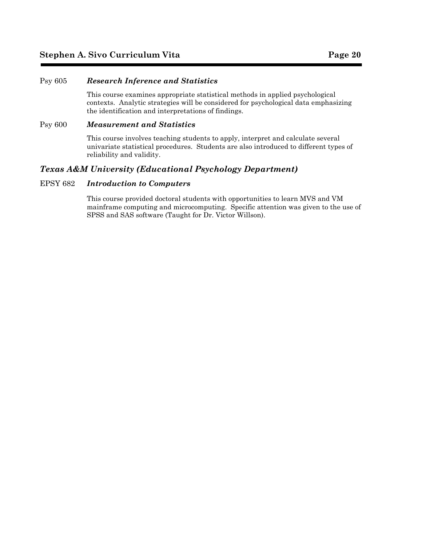#### Psy 605 *Research Inference and Statistics*

This course examines appropriate statistical methods in applied psychological contexts. Analytic strategies will be considered for psychological data emphasizing the identification and interpretations of findings.

#### Psy 600 *Measurement and Statistics*

This course involves teaching students to apply, interpret and calculate several univariate statistical procedures. Students are also introduced to different types of reliability and validity.

#### *Texas A&M University (Educational Psychology Department)*

#### EPSY 682 *Introduction to Computers*

This course provided doctoral students with opportunities to learn MVS and VM mainframe computing and microcomputing. Specific attention was given to the use of SPSS and SAS software (Taught for Dr. Victor Willson).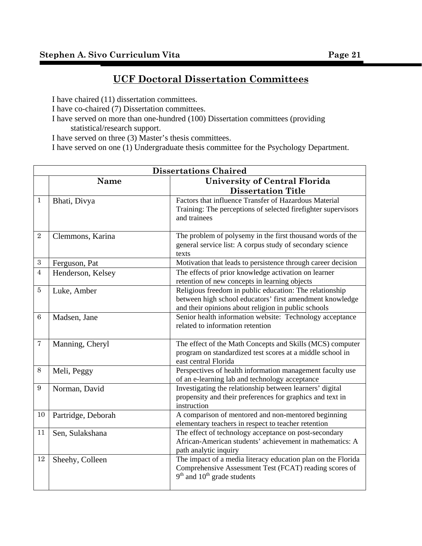# **UCF Doctoral Dissertation Committees**

I have chaired (11) dissertation committees.

I have co-chaired (7) Dissertation committees.

I have served on more than one-hundred (100) Dissertation committees (providing statistical/research support.

I have served on three (3) Master's thesis committees.

I have served on one (1) Undergraduate thesis committee for the Psychology Department.

|                 | <b>Dissertations Chaired</b> |                                                                                                                                                                            |  |
|-----------------|------------------------------|----------------------------------------------------------------------------------------------------------------------------------------------------------------------------|--|
|                 | <b>Name</b>                  | University of Central Florida                                                                                                                                              |  |
|                 |                              | <b>Dissertation Title</b>                                                                                                                                                  |  |
| $\mathbf{1}$    | Bhati, Divya                 | Factors that influence Transfer of Hazardous Material<br>Training: The perceptions of selected firefighter supervisors<br>and trainees                                     |  |
| $\overline{2}$  | Clemmons, Karina             | The problem of polysemy in the first thousand words of the<br>general service list: A corpus study of secondary science<br>texts                                           |  |
| $\sqrt{3}$      | Ferguson, Pat                | Motivation that leads to persistence through career decision                                                                                                               |  |
| $\overline{4}$  | Henderson, Kelsey            | The effects of prior knowledge activation on learner<br>retention of new concepts in learning objects                                                                      |  |
| $\overline{5}$  | Luke, Amber                  | Religious freedom in public education: The relationship<br>between high school educators' first amendment knowledge<br>and their opinions about religion in public schools |  |
| $6\phantom{1}6$ | Madsen, Jane                 | Senior health information website: Technology acceptance<br>related to information retention                                                                               |  |
| $\overline{7}$  | Manning, Cheryl              | The effect of the Math Concepts and Skills (MCS) computer<br>program on standardized test scores at a middle school in<br>east central Florida                             |  |
| 8               | Meli, Peggy                  | Perspectives of health information management faculty use<br>of an e-learning lab and technology acceptance                                                                |  |
| 9               | Norman, David                | Investigating the relationship between learners' digital<br>propensity and their preferences for graphics and text in<br>instruction                                       |  |
| $10\,$          | Partridge, Deborah           | A comparison of mentored and non-mentored beginning<br>elementary teachers in respect to teacher retention                                                                 |  |
| 11              | Sen, Sulakshana              | The effect of technology acceptance on post-secondary<br>African-American students' achievement in mathematics: A<br>path analytic inquiry                                 |  |
| 12              | Sheehy, Colleen              | The impact of a media literacy education plan on the Florida<br>Comprehensive Assessment Test (FCAT) reading scores of<br>$9th$ and $10th$ grade students                  |  |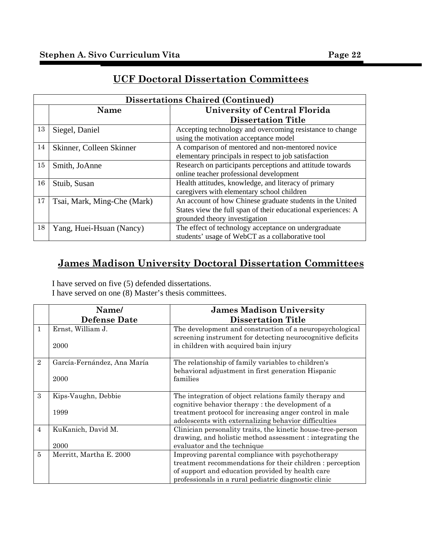|    | <b>Dissertations Chaired (Continued)</b> |                                                                                                                                                             |  |
|----|------------------------------------------|-------------------------------------------------------------------------------------------------------------------------------------------------------------|--|
|    | <b>Name</b>                              | University of Central Florida                                                                                                                               |  |
|    |                                          | <b>Dissertation Title</b>                                                                                                                                   |  |
| 13 | Siegel, Daniel                           | Accepting technology and overcoming resistance to change<br>using the motivation acceptance model                                                           |  |
| 14 | Skinner, Colleen Skinner                 | A comparison of mentored and non-mentored novice<br>elementary principals in respect to job satisfaction                                                    |  |
| 15 | Smith, JoAnne                            | Research on participants perceptions and attitude towards<br>online teacher professional development                                                        |  |
| 16 | Stuib, Susan                             | Health attitudes, knowledge, and literacy of primary<br>caregivers with elementary school children                                                          |  |
| 17 | Tsai, Mark, Ming-Che (Mark)              | An account of how Chinese graduate students in the United<br>States view the full span of their educational experiences: A<br>grounded theory investigation |  |
| 18 | Yang, Huei-Hsuan (Nancy)                 | The effect of technology acceptance on undergraduate<br>students' usage of WebCT as a collaborative tool                                                    |  |

# **UCF Doctoral Dissertation Committees**

# **James Madison University Doctoral Dissertation Committees**

I have served on five (5) defended dissertations. I have served on one (8) Master's thesis committees.

|                | Name/                       | <b>James Madison University</b>                                                                                        |
|----------------|-----------------------------|------------------------------------------------------------------------------------------------------------------------|
|                | <b>Defense Date</b>         | <b>Dissertation Title</b>                                                                                              |
| $\mathbf{1}$   | Ernst, William J.           | The development and construction of a neuropsychological<br>screening instrument for detecting neurocognitive deficits |
|                | 2000                        | in children with acquired bain injury                                                                                  |
| $\overline{2}$ | García-Fernández, Ana María | The relationship of family variables to children's                                                                     |
|                |                             | behavioral adjustment in first generation Hispanic                                                                     |
|                | 2000                        | families                                                                                                               |
|                |                             |                                                                                                                        |
| 3              | Kips-Vaughn, Debbie         | The integration of object relations family therapy and                                                                 |
|                |                             | cognitive behavior therapy: the development of a                                                                       |
|                | 1999                        | treatment protocol for increasing anger control in male                                                                |
|                |                             | adolescents with externalizing behavior difficulties                                                                   |
| $\overline{4}$ | KuKanich, David M.          | Clinician personality traits, the kinetic house-tree-person                                                            |
|                |                             | drawing, and holistic method assessment : integrating the                                                              |
|                | 2000                        | evaluator and the technique                                                                                            |
| 5              | Merritt, Martha E. 2000     | Improving parental compliance with psychotherapy                                                                       |
|                |                             | treatment recommendations for their children : perception                                                              |
|                |                             | of support and education provided by health care                                                                       |
|                |                             | professionals in a rural pediatric diagnostic clinic                                                                   |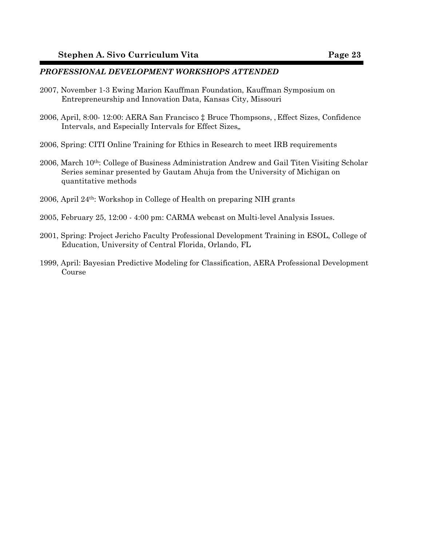#### *PROFESSIONAL DEVELOPMENT WORKSHOPS ATTENDED*

- 2007, November 1-3 Ewing Marion Kauffman Foundation, Kauffman Symposium on Entrepreneurship and Innovation Data, Kansas City, Missouri
- 2006, April, 8:00- 12:00: AERA San Francisco  $\ddagger$  Bruce Thompsons, , Effect Sizes, Confidence Intervals, and Especially Intervals for Effect Sizes,
- 2006, Spring: CITI Online Training for Ethics in Research to meet IRB requirements
- 2006, March 10th: College of Business Administration Andrew and Gail Titen Visiting Scholar Series seminar presented by Gautam Ahuja from the University of Michigan on quantitative methods
- 2006, April 24th: Workshop in College of Health on preparing NIH grants
- 2005, February 25, 12:00 4:00 pm: CARMA webcast on Multi-level Analysis Issues.
- 2001, Spring: Project Jericho Faculty Professional Development Training in ESOL, College of Education, University of Central Florida, Orlando, FL
- 1999, April: Bayesian Predictive Modeling for Classification, AERA Professional Development Course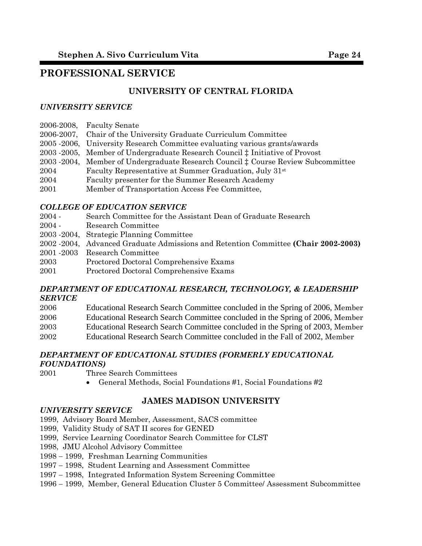# **PROFESSIONAL SERVICE**

# **UNIVERSITY OF CENTRAL FLORIDA**

## *UNIVERSITY SERVICE*

| 2006-2008, | <b>Faculty Senate</b> |  |
|------------|-----------------------|--|
|            |                       |  |

- 2006-2007, Chair of the University Graduate Curriculum Committee
- 2005 -2006, University Research Committee evaluating various grants/awards
- 2003 -2005, Member of Undergraduate Research Council  $\ddagger$  Initiative of Provost
- 2003 -2004, Member of Undergraduate Research Council  $\ddagger$  Course Review Subcommittee
- 2004 Faculty Representative at Summer Graduation, July 31st
- 2004 Faculty presenter for the Summer Research Academy
- 2001 Member of Transportation Access Fee Committee,

### *COLLEGE OF EDUCATION SERVICE*

- 2004 Search Committee for the Assistant Dean of Graduate Research
- 2004 Research Committee
- 2003 -2004, Strategic Planning Committee
- 2002 -2004, Advanced Graduate Admissions and Retention Committee **(Chair 2002-2003)**
- 2001 -2003 Research Committee
- 2003 Proctored Doctoral Comprehensive Exams
- 2001 Proctored Doctoral Comprehensive Exams

### *DEPARTMENT OF EDUCATIONAL RESEARCH, TECHNOLOGY, & LEADERSHIP SERVICE*

- 2006 Educational Research Search Committee concluded in the Spring of 2006, Member
- 2006 Educational Research Search Committee concluded in the Spring of 2006, Member
- 2003 Educational Research Search Committee concluded in the Spring of 2003, Member
- 2002 Educational Research Search Committee concluded in the Fall of 2002, Member

#### *DEPARTMENT OF EDUCATIONAL STUDIES (FORMERLY EDUCATIONAL FOUNDATIONS)*

- 2001 Three Search Committees
	- General Methods, Social Foundations #1, Social Foundations #2

## **JAMES MADISON UNIVERSITY**

#### *UNIVERSITY SERVICE*

- 1999, Advisory Board Member, Assessment, SACS committee
- 1999, Validity Study of SAT II scores for GENED
- 1999, Service Learning Coordinator Search Committee for CLST
- 1998, JMU Alcohol Advisory Committee
- 1998 − 1999, Freshman Learning Communities
- 1997 − 1998, Student Learning and Assessment Committee
- 1997 − 1998, Integrated Information System Screening Committee
- 1996 − 1999, Member, General Education Cluster 5 Committee/ Assessment Subcommittee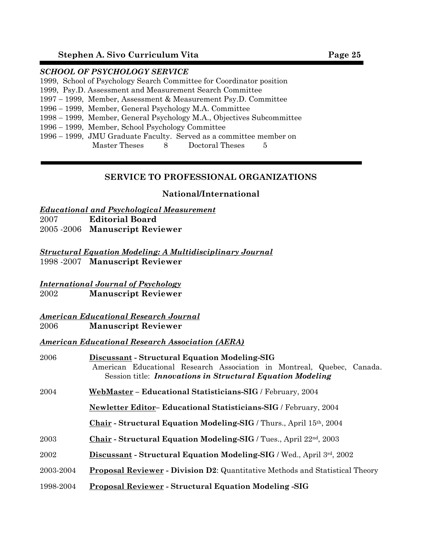## *SCHOOL OF PSYCHOLOGY SERVICE*

| 1999, School of Psychology Search Committee for Coordinator position |
|----------------------------------------------------------------------|
| 1999, Psy.D. Assessment and Measurement Search Committee             |

- 1997 − 1999, Member, Assessment & Measurement Psy.D. Committee
- 1996 − 1999, Member, General Psychology M.A. Committee
- 1998 − 1999, Member, General Psychology M.A., Objectives Subcommittee
- 1996 − 1999, Member, School Psychology Committee
- 1996 − 1999, JMU Graduate Faculty. Served as a committee member on Master Theses 8 Doctoral Theses 5

## **SERVICE TO PROFESSIONAL ORGANIZATIONS**

### **National/International**

### *Educational and Psychological Measurement*

2007 **Editorial Board**

2005 -2006 **Manuscript Reviewer**

*Structural Equation Modeling: A Multidisciplinary Journal* 1998 -2007 **Manuscript Reviewer**

#### *International Journal of Psychology* 2002 **Manuscript Reviewer**

### *American Educational Research Journal* 2006 **Manuscript Reviewer**

## *American Educational Research Association (AERA)*

| 2006      | Discussant - Structural Equation Modeling-SIG<br>American Educational Research Association in Montreal, Quebec, Canada.<br>Session title: <i>Innovations in Structural Equation Modeling</i> |
|-----------|----------------------------------------------------------------------------------------------------------------------------------------------------------------------------------------------|
| 2004      | WebMaster - Educational Statisticians-SIG / February, 2004                                                                                                                                   |
|           | <b>Newletter Editor– Educational Statisticians-SIG / February, 2004</b>                                                                                                                      |
|           | Chair - Structural Equation Modeling-SIG / Thurs., April 15th, 2004                                                                                                                          |
| 2003      | Chair - Structural Equation Modeling-SIG / Tues., April 22 <sup>nd</sup> , 2003                                                                                                              |
| 2002      | <b>Discussant - Structural Equation Modeling-SIG</b> / Wed., April 3rd, 2002                                                                                                                 |
| 2003-2004 | <b>Proposal Reviewer - Division D2: Quantitative Methods and Statistical Theory</b>                                                                                                          |
| 1998-2004 | <b>Proposal Reviewer - Structural Equation Modeling -SIG</b>                                                                                                                                 |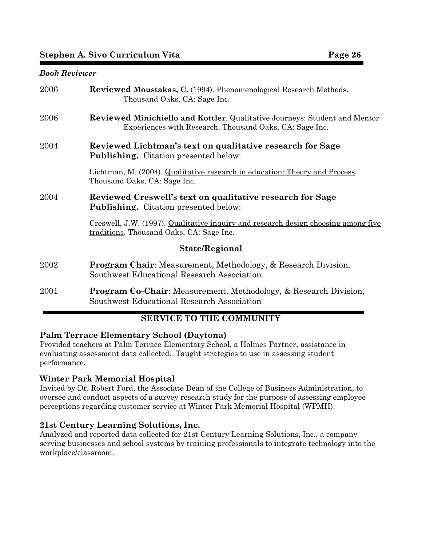# **Stephen A. Sivo Curriculum Vita** Page 26

#### *Book Reviewer*

| 2006           | <b>Reviewed Moustakas, C.</b> (1994). Phenomenological Research Methods.<br>Thousand Oaks, CA: Sage Inc.                                     |  |
|----------------|----------------------------------------------------------------------------------------------------------------------------------------------|--|
| 2006           | <b>Reviewed Minichiello and Kottler.</b> Qualitative Journeys: Student and Mentor<br>Experiences with Research. Thousand Oaks, CA: Sage Inc. |  |
| 2004           | Reviewed Lichtman's text on qualitative research for Sage<br><b>Publishing.</b> Citation presented below:                                    |  |
|                | Lichtman, M. (2004). Qualitative research in education: Theory and Process.<br>Thousand Oaks, CA: Sage Inc.                                  |  |
| 2004           | Reviewed Creswell's text on qualitative research for Sage<br><b>Publishing.</b> Citation presented below:                                    |  |
|                | Creswell, J.W. (1997). Qualitative inquiry and research design choosing among five<br>traditions. Thousand Oaks, CA: Sage Inc.               |  |
| State/Regional |                                                                                                                                              |  |
| 2002           | <b>Program Chair:</b> Measurement, Methodology, & Research Division,<br>Southwest Educational Research Association                           |  |
| 2001           | <b>Program Co-Chair:</b> Measurement, Methodology, & Research Division,<br>Southwest Educational Research Association                        |  |

# **SERVICE TO THE COMMUNITY**

## **Palm Terrace Elementary School (Daytona)**

Provided teachers at Palm Terrace Elementary School, a Holmes Partner, assistance in evaluating assessment data collected. Taught strategies to use in assessing student performance.

## **Winter Park Memorial Hospital**

Invited by Dr. Robert Ford, the Associate Dean of the College of Business Administration, to oversee and conduct aspects of a survey research study for the purpose of assessing employee perceptions regarding customer service at Winter Park Memorial Hospital (WPMH).

## **21st Century Learning Solutions, Inc.**

Analyzed and reported data collected for 21st Century Learning Solutions, Inc., a company serving businesses and school systems by training professionals to integrate technology into the workplace/classroom.